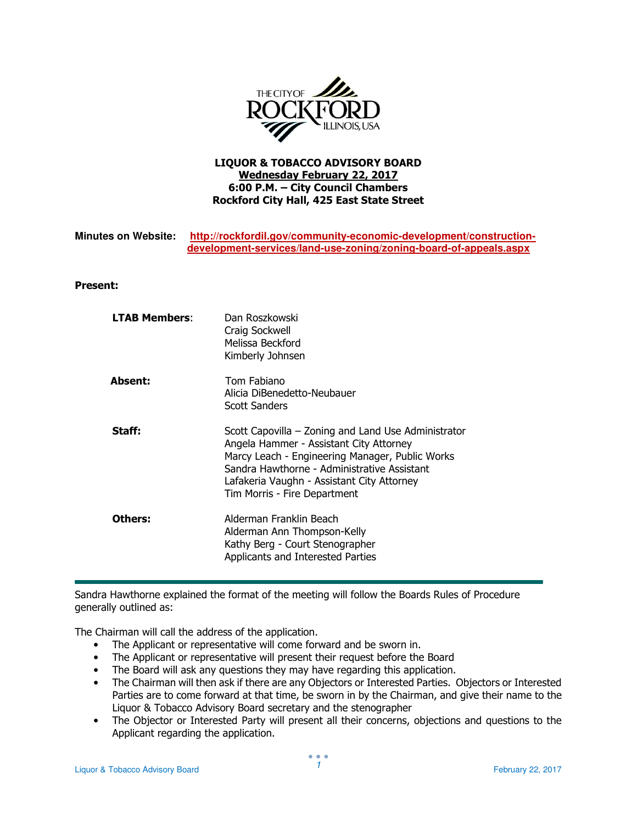

## LIQUOR & TOBACCO ADVISORY BOARD Wednesday February 22, 2017 6:00 P.M. – City Council Chambers Rockford City Hall, 425 East State Street

## **Minutes on Website: http://rockfordil.gov/community-economic-development/constructiondevelopment-services/land-use-zoning/zoning-board-of-appeals.aspx**

## Present:

| <b>LTAB Members:</b> | Dan Roszkowski<br>Craig Sockwell<br>Melissa Beckford<br>Kimberly Johnsen                                                                                                                                                                                                       |
|----------------------|--------------------------------------------------------------------------------------------------------------------------------------------------------------------------------------------------------------------------------------------------------------------------------|
| Absent:              | Tom Fabiano<br>Alicia DiBenedetto-Neubauer<br>Scott Sanders                                                                                                                                                                                                                    |
| Staff:               | Scott Capovilla – Zoning and Land Use Administrator<br>Angela Hammer - Assistant City Attorney<br>Marcy Leach - Engineering Manager, Public Works<br>Sandra Hawthorne - Administrative Assistant<br>Lafakeria Vaughn - Assistant City Attorney<br>Tim Morris - Fire Department |
| Others:              | Alderman Franklin Beach<br>Alderman Ann Thompson-Kelly<br>Kathy Berg - Court Stenographer<br>Applicants and Interested Parties                                                                                                                                                 |

Sandra Hawthorne explained the format of the meeting will follow the Boards Rules of Procedure generally outlined as:

The Chairman will call the address of the application.

- The Applicant or representative will come forward and be sworn in.
- The Applicant or representative will present their request before the Board
- The Board will ask any questions they may have regarding this application.
- The Chairman will then ask if there are any Objectors or Interested Parties. Objectors or Interested Parties are to come forward at that time, be sworn in by the Chairman, and give their name to the Liquor & Tobacco Advisory Board secretary and the stenographer
- The Objector or Interested Party will present all their concerns, objections and questions to the Applicant regarding the application.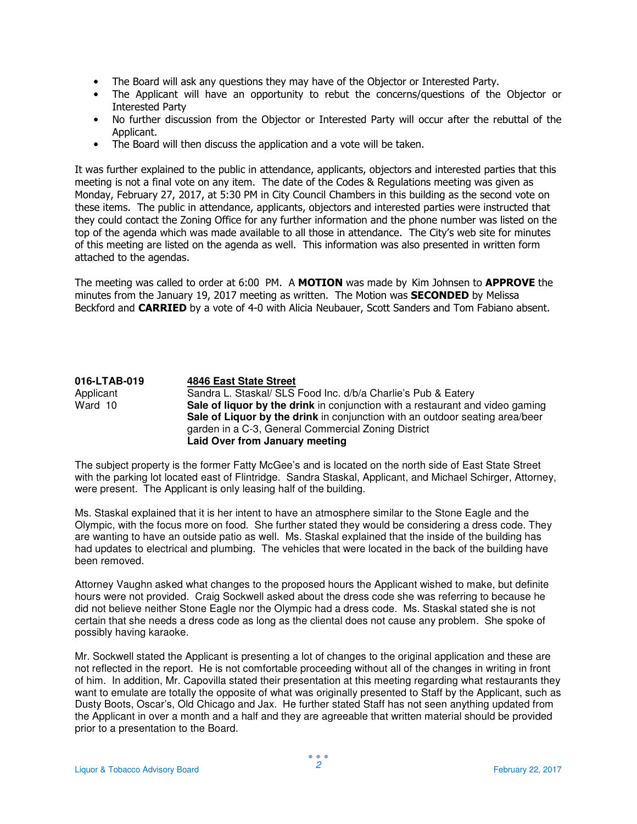- The Board will ask any questions they may have of the Objector or Interested Party.
- The Applicant will have an opportunity to rebut the concerns/questions of the Objector or Interested Party
- No further discussion from the Objector or Interested Party will occur after the rebuttal of the Applicant.
- The Board will then discuss the application and a vote will be taken.

It was further explained to the public in attendance, applicants, objectors and interested parties that this meeting is not a final vote on any item. The date of the Codes & Regulations meeting was given as Monday, February 27, 2017, at 5:30 PM in City Council Chambers in this building as the second vote on these items. The public in attendance, applicants, objectors and interested parties were instructed that they could contact the Zoning Office for any further information and the phone number was listed on the top of the agenda which was made available to all those in attendance. The City's web site for minutes of this meeting are listed on the agenda as well. This information was also presented in written form attached to the agendas.

The meeting was called to order at 6:00 PM. A MOTION was made by Kim Johnsen to APPROVE the minutes from the January 19, 2017 meeting as written. The Motion was **SECONDED** by Melissa Beckford and **CARRIED** by a vote of 4-0 with Alicia Neubauer, Scott Sanders and Tom Fabiano absent.

## **016-LTAB-019 4846 East State Street** Applicant Sandra L. Staskal/ SLS Food Inc. d/b/a Charlie's Pub & Eatery<br>Ward 10 **Sale of liquor by the drink** in conjunction with a restaurant and Sale of liquor by the drink in conjunction with a restaurant and video gaming **Sale of Liquor by the drink** in conjunction with an outdoor seating area/beer garden in a C-3, General Commercial Zoning District **Laid Over from January meeting**

The subject property is the former Fatty McGee's and is located on the north side of East State Street with the parking lot located east of Flintridge. Sandra Staskal, Applicant, and Michael Schirger, Attorney, were present. The Applicant is only leasing half of the building.

Ms. Staskal explained that it is her intent to have an atmosphere similar to the Stone Eagle and the Olympic, with the focus more on food. She further stated they would be considering a dress code. They are wanting to have an outside patio as well. Ms. Staskal explained that the inside of the building has had updates to electrical and plumbing. The vehicles that were located in the back of the building have been removed.

Attorney Vaughn asked what changes to the proposed hours the Applicant wished to make, but definite hours were not provided. Craig Sockwell asked about the dress code she was referring to because he did not believe neither Stone Eagle nor the Olympic had a dress code. Ms. Staskal stated she is not certain that she needs a dress code as long as the cliental does not cause any problem. She spoke of possibly having karaoke.

Mr. Sockwell stated the Applicant is presenting a lot of changes to the original application and these are not reflected in the report. He is not comfortable proceeding without all of the changes in writing in front of him. In addition, Mr. Capovilla stated their presentation at this meeting regarding what restaurants they want to emulate are totally the opposite of what was originally presented to Staff by the Applicant, such as Dusty Boots, Oscar's, Old Chicago and Jax. He further stated Staff has not seen anything updated from the Applicant in over a month and a half and they are agreeable that written material should be provided prior to a presentation to the Board.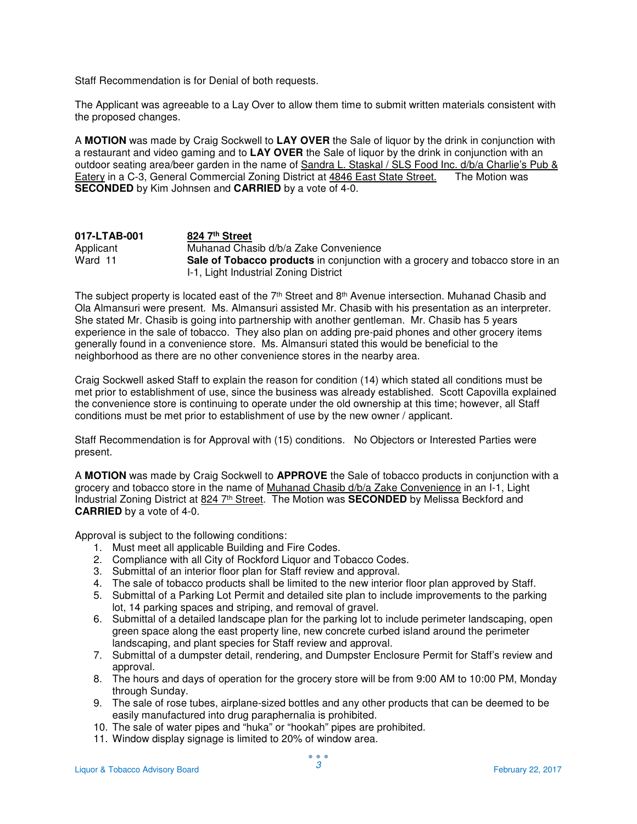Staff Recommendation is for Denial of both requests.

The Applicant was agreeable to a Lay Over to allow them time to submit written materials consistent with the proposed changes.

A **MOTION** was made by Craig Sockwell to **LAY OVER** the Sale of liquor by the drink in conjunction with a restaurant and video gaming and to **LAY OVER** the Sale of liquor by the drink in conjunction with an outdoor seating area/beer garden in the name of Sandra L. Staskal / SLS Food Inc. d/b/a Charlie's Pub & Eatery in a C-3, General Commercial Zoning District at 4846 East State Street. The Motion was **SECONDED** by Kim Johnsen and **CARRIED** by a vote of 4-0.

| 017-LTAB-001 | 824 7th Street                                                                 |
|--------------|--------------------------------------------------------------------------------|
| Applicant    | Muhanad Chasib d/b/a Zake Convenience                                          |
| Ward 11      | Sale of Tobacco products in conjunction with a grocery and tobacco store in an |
|              | 1-1, Light Industrial Zoning District                                          |

The subject property is located east of the  $7<sup>th</sup>$  Street and  $8<sup>th</sup>$  Avenue intersection. Muhanad Chasib and Ola Almansuri were present. Ms. Almansuri assisted Mr. Chasib with his presentation as an interpreter. She stated Mr. Chasib is going into partnership with another gentleman. Mr. Chasib has 5 years experience in the sale of tobacco. They also plan on adding pre-paid phones and other grocery items generally found in a convenience store. Ms. Almansuri stated this would be beneficial to the neighborhood as there are no other convenience stores in the nearby area.

Craig Sockwell asked Staff to explain the reason for condition (14) which stated all conditions must be met prior to establishment of use, since the business was already established. Scott Capovilla explained the convenience store is continuing to operate under the old ownership at this time; however, all Staff conditions must be met prior to establishment of use by the new owner / applicant.

Staff Recommendation is for Approval with (15) conditions. No Objectors or Interested Parties were present.

A **MOTION** was made by Craig Sockwell to **APPROVE** the Sale of tobacco products in conjunction with a grocery and tobacco store in the name of Muhanad Chasib d/b/a Zake Convenience in an I-1, Light Industrial Zoning District at 824 7th Street. The Motion was **SECONDED** by Melissa Beckford and **CARRIED** by a vote of 4-0.

Approval is subject to the following conditions:

- 1. Must meet all applicable Building and Fire Codes.
- 2. Compliance with all City of Rockford Liquor and Tobacco Codes.
- 3. Submittal of an interior floor plan for Staff review and approval.
- 4. The sale of tobacco products shall be limited to the new interior floor plan approved by Staff.
- 5. Submittal of a Parking Lot Permit and detailed site plan to include improvements to the parking lot, 14 parking spaces and striping, and removal of gravel.
- 6. Submittal of a detailed landscape plan for the parking lot to include perimeter landscaping, open green space along the east property line, new concrete curbed island around the perimeter landscaping, and plant species for Staff review and approval.
- 7. Submittal of a dumpster detail, rendering, and Dumpster Enclosure Permit for Staff's review and approval.
- 8. The hours and days of operation for the grocery store will be from 9:00 AM to 10:00 PM, Monday through Sunday.
- 9. The sale of rose tubes, airplane-sized bottles and any other products that can be deemed to be easily manufactured into drug paraphernalia is prohibited.
- 10. The sale of water pipes and "huka" or "hookah" pipes are prohibited.
- 11. Window display signage is limited to 20% of window area.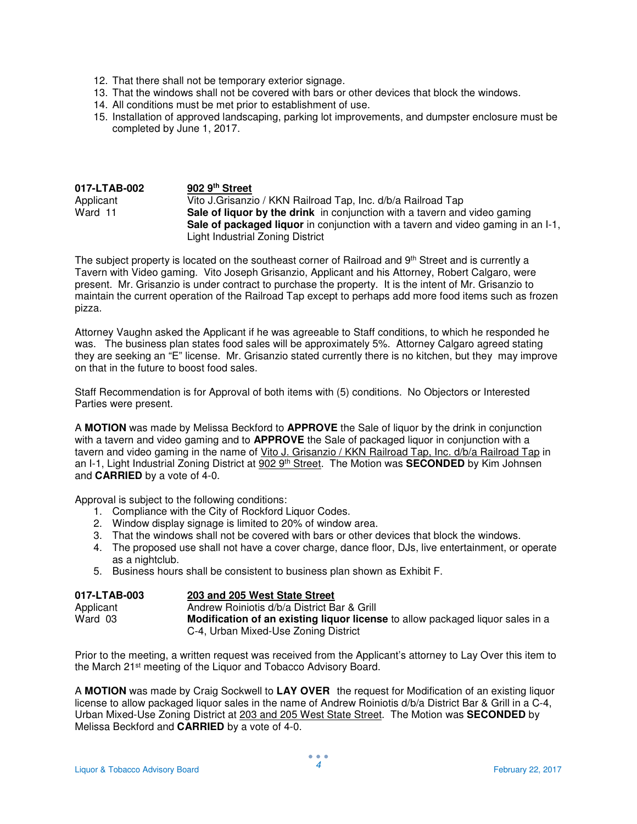- 12. That there shall not be temporary exterior signage.
- 13. That the windows shall not be covered with bars or other devices that block the windows.
- 14. All conditions must be met prior to establishment of use.
- 15. Installation of approved landscaping, parking lot improvements, and dumpster enclosure must be completed by June 1, 2017.

| 017-LTAB-002 | 902 9th Street                                                                                                                                                                                           |
|--------------|----------------------------------------------------------------------------------------------------------------------------------------------------------------------------------------------------------|
| Applicant    | Vito J. Grisanzio / KKN Railroad Tap, Inc. d/b/a Railroad Tap                                                                                                                                            |
| Ward 11      | Sale of liquor by the drink in conjunction with a tavern and video gaming<br>Sale of packaged liquor in conjunction with a tavern and video gaming in an I-1,<br><b>Light Industrial Zoning District</b> |

The subject property is located on the southeast corner of Railroad and 9<sup>th</sup> Street and is currently a Tavern with Video gaming. Vito Joseph Grisanzio, Applicant and his Attorney, Robert Calgaro, were present. Mr. Grisanzio is under contract to purchase the property. It is the intent of Mr. Grisanzio to maintain the current operation of the Railroad Tap except to perhaps add more food items such as frozen pizza.

Attorney Vaughn asked the Applicant if he was agreeable to Staff conditions, to which he responded he was. The business plan states food sales will be approximately 5%. Attorney Calgaro agreed stating they are seeking an "E" license. Mr. Grisanzio stated currently there is no kitchen, but they may improve on that in the future to boost food sales.

Staff Recommendation is for Approval of both items with (5) conditions. No Objectors or Interested Parties were present.

A **MOTION** was made by Melissa Beckford to **APPROVE** the Sale of liquor by the drink in conjunction with a tavern and video gaming and to **APPROVE** the Sale of packaged liquor in conjunction with a tavern and video gaming in the name of Vito J. Grisanzio / KKN Railroad Tap, Inc. d/b/a Railroad Tap in an I-1, Light Industrial Zoning District at 902 9th Street. The Motion was **SECONDED** by Kim Johnsen and **CARRIED** by a vote of 4-0.

Approval is subject to the following conditions:

- 1. Compliance with the City of Rockford Liquor Codes.
- 2. Window display signage is limited to 20% of window area.
- 3. That the windows shall not be covered with bars or other devices that block the windows.
- 4. The proposed use shall not have a cover charge, dance floor, DJs, live entertainment, or operate as a nightclub.
- 5. Business hours shall be consistent to business plan shown as Exhibit F.

| 017-LTAB-003 | 203 and 205 West State Street                                                  |
|--------------|--------------------------------------------------------------------------------|
| Applicant    | Andrew Roiniotis d/b/a District Bar & Grill                                    |
| Ward 03      | Modification of an existing liquor license to allow packaged liquor sales in a |
|              | C-4, Urban Mixed-Use Zoning District                                           |

Prior to the meeting, a written request was received from the Applicant's attorney to Lay Over this item to the March 21st meeting of the Liquor and Tobacco Advisory Board.

A **MOTION** was made by Craig Sockwell to **LAY OVER** the request for Modification of an existing liquor license to allow packaged liquor sales in the name of Andrew Roiniotis d/b/a District Bar & Grill in a C-4, Urban Mixed-Use Zoning District at 203 and 205 West State Street. The Motion was **SECONDED** by Melissa Beckford and **CARRIED** by a vote of 4-0.